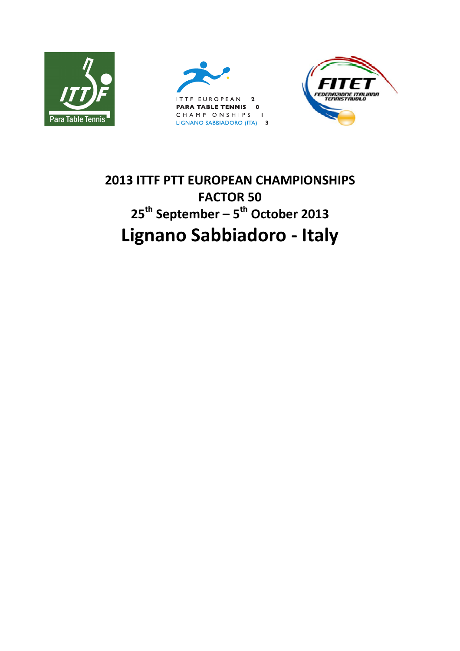





# **2013 ITTF PTT EUROPEAN CHAMPIONSHIPS FACTOR 50 25th September – 5th October 2013 Lignano Sabbiadoro - Italy**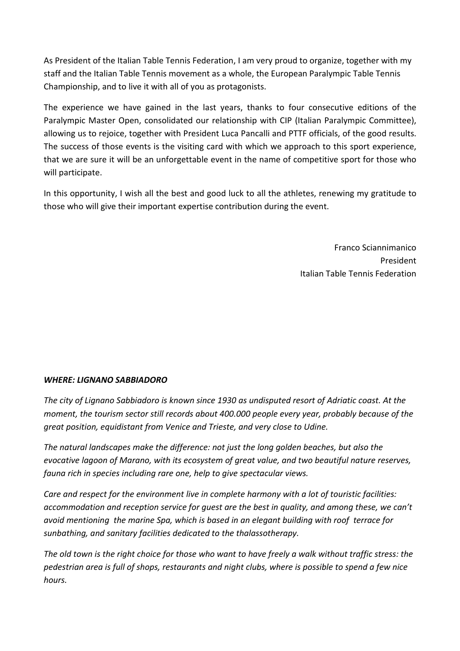As President of the Italian Table Tennis Federation, I am very proud to organize, together with my staff and the Italian Table Tennis movement as a whole, the European Paralympic Table Tennis Championship, and to live it with all of you as protagonists.

The experience we have gained in the last years, thanks to four consecutive editions of the Paralympic Master Open, consolidated our relationship with CIP (Italian Paralympic Committee), allowing us to rejoice, together with President Luca Pancalli and PTTF officials, of the good results. The success of those events is the visiting card with which we approach to this sport experience, that we are sure it will be an unforgettable event in the name of competitive sport for those who will participate.

In this opportunity, I wish all the best and good luck to all the athletes, renewing my gratitude to those who will give their important expertise contribution during the event.

> Franco Sciannimanico **President** Communication of the Communication of the President Italian Table Tennis Federation

## *WHERE: LIGNANO SABBIADORO*

*The city of Lignano Sabbiadoro is known since 1930 as undisputed resort of Adriatic coast. At the moment, the tourism sector still records about 400.000 people every year, probably because of the great position, equidistant from Venice and Trieste, and very close to Udine.* 

*The natural landscapes make the difference: not just the long golden beaches, but also the evocative lagoon of Marano, with its ecosystem of great value, and two beautiful nature reserves, fauna rich in species including rare one, help to give spectacular views.*

*Care and respect for the environment live in complete harmony with a lot of touristic facilities: accommodation and reception service for guest are the best in quality, and among these, we can't avoid mentioning the marine Spa, which is based in an elegant building with roof terrace for sunbathing, and sanitary facilities dedicated to the thalassotherapy.*

*The old town is the right choice for those who want to have freely a walk without traffic stress: the pedestrian area is full of shops, restaurants and night clubs, where is possible to spend a few nice hours.*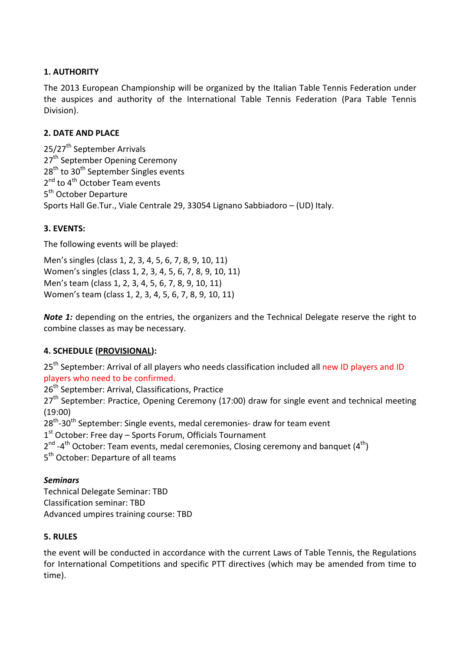# **1. AUTHORITY**

The 2013 European Championship will be organized by the Italian Table Tennis Federation under the auspices and authority of the International Table Tennis Federation (Para Table Tennis Division).

## **2. DATE AND PLACE**

25/27<sup>th</sup> September Arrivals 27<sup>th</sup> September Opening Ceremony 28<sup>th</sup> to 30<sup>th</sup> September Singles events 2<sup>nd</sup> to 4<sup>th</sup> October Team events 5<sup>th</sup> October Departure Sports Hall Ge.Tur., Viale Centrale 29, 33054 Lignano Sabbiadoro – (UD) Italy.

### **3. EVENTS:**

The following events will be played:

Men's singles (class 1, 2, 3, 4, 5, 6, 7, 8, 9, 10, 11) Women's singles (class 1, 2, 3, 4, 5, 6, 7, 8, 9, 10, 11) Men's team (class 1, 2, 3, 4, 5, 6, 7, 8, 9, 10, 11) Women's team (class 1, 2, 3, 4, 5, 6, 7, 8, 9, 10, 11)

*Note 1:* depending on the entries, the organizers and the Technical Delegate reserve the right to combine classes as may be necessary.

## **4. SCHEDULE (PROVISIONAL):**

25<sup>th</sup> September: Arrival of all players who needs classification included all new ID players and ID players who need to be confirmed.

26<sup>th</sup> September: Arrival, Classifications, Practice  $27<sup>th</sup>$  September: Practice, Opening Ceremony (17:00) draw for single event and technical meeting (19:00)  $28<sup>th</sup>$ -30<sup>th</sup> September: Single events, medal ceremonies- draw for team event 1<sup>st</sup> October: Free day – Sports Forum, Officials Tournament

 $2^{nd}$  -4<sup>th</sup> October: Team events, medal ceremonies, Closing ceremony and banquet (4<sup>th</sup>)

5<sup>th</sup> October: Departure of all teams

#### *Seminars*

Technical Delegate Seminar: TBD Classification seminar: TBD Advanced umpires training course: TBD

#### **5. RULES**

the event will be conducted in accordance with the current Laws of Table Tennis, the Regulations for International Competitions and specific PTT directives (which may be amended from time to time).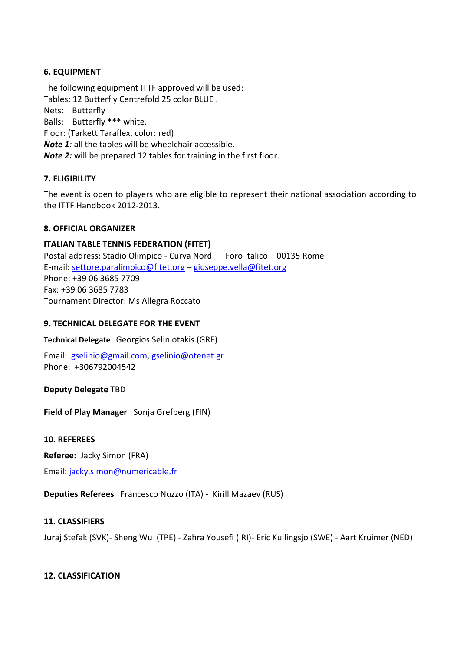# **6. EQUIPMENT**

The following equipment ITTF approved will be used: Tables: 12 Butterfly Centrefold 25 color BLUE . Nets: Butterfly Balls: Butterfly \*\*\* white. Floor: (Tarkett Taraflex, color: red) *Note 1:* all the tables will be wheelchair accessible. *Note 2:* will be prepared 12 tables for training in the first floor.

## **7. ELIGIBILITY**

The event is open to players who are eligible to represent their national association according to the ITTF Handbook 2012-2013.

## **8. OFFICIAL ORGANIZER**

### **ITALIAN TABLE TENNIS FEDERATION (FITET)**

Postal address: Stadio Olimpico - Curva Nord –– Foro Italico – 00135 Rome E-mail: settore.paralimpico@fitet.org – giuseppe.vella@fitet.org Phone: +39 06 3685 7709 Fax: +39 06 3685 7783 Tournament Director: Ms Allegra Roccato

## **9. TECHNICAL DELEGATE FOR THE EVENT**

**Technical Delegate** Georgios Seliniotakis (GRE)

Email: gselinio@gmail.com, gselinio@otenet.gr Phone: +306792004542

## **Deputy Delegate** TBD

**Field of Play Manager** Sonja Grefberg (FIN)

#### **10. REFEREES**

**Referee:** Jacky Simon (FRA)

Email: jacky.simon@numericable.fr

**Deputies Referees** Francesco Nuzzo (ITA) - Kirill Mazaev (RUS)

## **11. CLASSIFIERS**

Juraj Stefak (SVK)- Sheng Wu (TPE) - Zahra Yousefi (IRI)- Eric Kullingsjo (SWE) - Aart Kruimer (NED)

#### **12. CLASSIFICATION**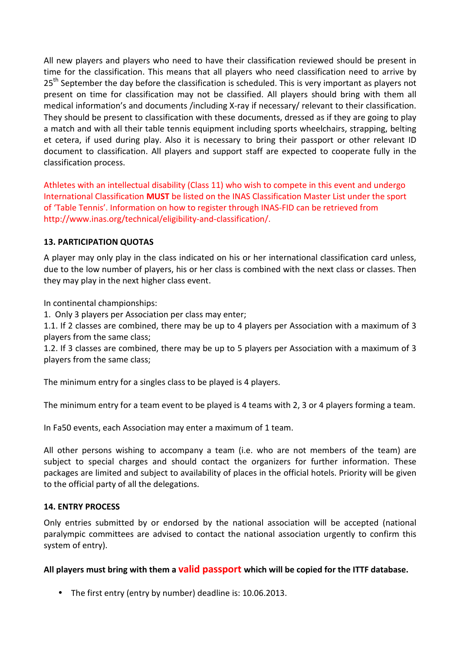All new players and players who need to have their classification reviewed should be present in time for the classification. This means that all players who need classification need to arrive by 25<sup>th</sup> September the day before the classification is scheduled. This is very important as players not present on time for classification may not be classified. All players should bring with them all medical information's and documents /including X-ray if necessary/ relevant to their classification. They should be present to classification with these documents, dressed as if they are going to play a match and with all their table tennis equipment including sports wheelchairs, strapping, belting et cetera, if used during play. Also it is necessary to bring their passport or other relevant ID document to classification. All players and support staff are expected to cooperate fully in the classification process.

Athletes with an intellectual disability (Class 11) who wish to compete in this event and undergo International Classification **MUST** be listed on the INAS Classification Master List under the sport of 'Table Tennis'. Information on how to register through INAS-FID can be retrieved from http://www.inas.org/technical/eligibility-and-classification/.

### **13. PARTICIPATION QUOTAS**

A player may only play in the class indicated on his or her international classification card unless, due to the low number of players, his or her class is combined with the next class or classes. Then they may play in the next higher class event.

In continental championships:

1. Only 3 players per Association per class may enter;

1.1. If 2 classes are combined, there may be up to 4 players per Association with a maximum of 3 players from the same class;

1.2. If 3 classes are combined, there may be up to 5 players per Association with a maximum of 3 players from the same class;

The minimum entry for a singles class to be played is 4 players.

The minimum entry for a team event to be played is 4 teams with 2, 3 or 4 players forming a team.

In Fa50 events, each Association may enter a maximum of 1 team.

All other persons wishing to accompany a team (i.e. who are not members of the team) are subject to special charges and should contact the organizers for further information. These packages are limited and subject to availability of places in the official hotels. Priority will be given to the official party of all the delegations.

#### **14. ENTRY PROCESS**

Only entries submitted by or endorsed by the national association will be accepted (national paralympic committees are advised to contact the national association urgently to confirm this system of entry).

#### **All players must bring with them a valid passport which will be copied for the ITTF database.**

• The first entry (entry by number) deadline is: 10.06.2013.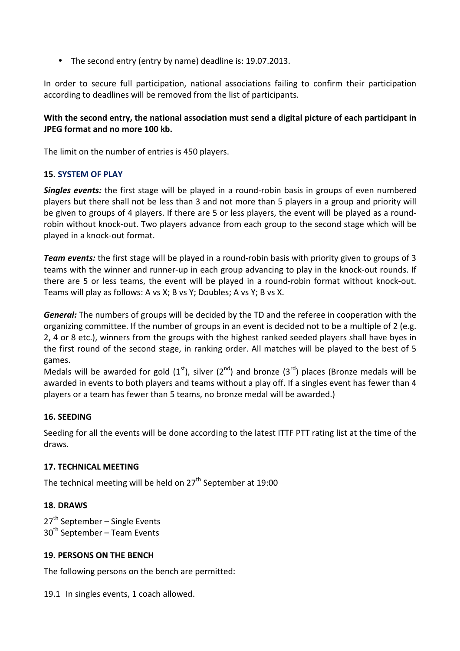• The second entry (entry by name) deadline is: 19.07.2013.

In order to secure full participation, national associations failing to confirm their participation according to deadlines will be removed from the list of participants.

# **With the second entry, the national association must send a digital picture of each participant in JPEG format and no more 100 kb.**

The limit on the number of entries is 450 players.

## **15. SYSTEM OF PLAY**

*Singles events:* the first stage will be played in a round-robin basis in groups of even numbered players but there shall not be less than 3 and not more than 5 players in a group and priority will be given to groups of 4 players. If there are 5 or less players, the event will be played as a roundrobin without knock-out. Two players advance from each group to the second stage which will be played in a knock-out format.

*Team events:* the first stage will be played in a round-robin basis with priority given to groups of 3 teams with the winner and runner-up in each group advancing to play in the knock-out rounds. If there are 5 or less teams, the event will be played in a round-robin format without knock-out. Teams will play as follows: A vs X; B vs Y; Doubles; A vs Y; B vs X.

*General:* The numbers of groups will be decided by the TD and the referee in cooperation with the organizing committee. If the number of groups in an event is decided not to be a multiple of 2 (e.g. 2, 4 or 8 etc.), winners from the groups with the highest ranked seeded players shall have byes in the first round of the second stage, in ranking order. All matches will be played to the best of 5 games.

Medals will be awarded for gold  $(1<sup>st</sup>)$ , silver  $(2<sup>nd</sup>)$  and bronze  $(3<sup>rd</sup>)$  places (Bronze medals will be awarded in events to both players and teams without a play off. If a singles event has fewer than 4 players or a team has fewer than 5 teams, no bronze medal will be awarded.)

#### **16. SEEDING**

Seeding for all the events will be done according to the latest ITTF PTT rating list at the time of the draws.

## **17. TECHNICAL MEETING**

The technical meeting will be held on  $27<sup>th</sup>$  September at 19:00

#### **18. DRAWS**

27<sup>th</sup> September – Single Events 30<sup>th</sup> September – Team Events

## **19. PERSONS ON THE BENCH**

The following persons on the bench are permitted:

19.1 In singles events, 1 coach allowed.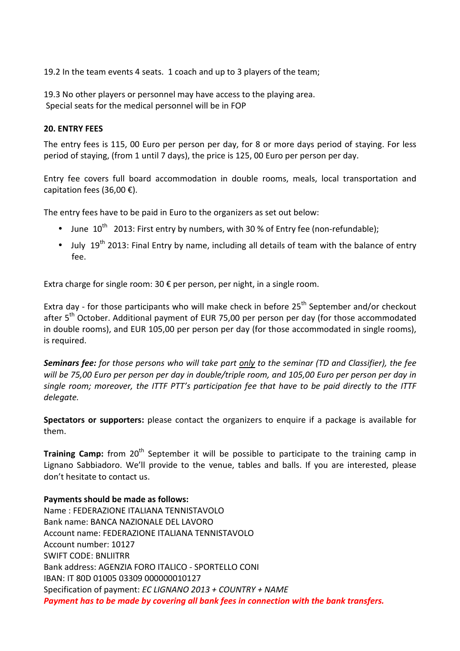19.2 In the team events 4 seats. 1 coach and up to 3 players of the team;

19.3 No other players or personnel may have access to the playing area. Special seats for the medical personnel will be in FOP

#### **20. ENTRY FEES**

The entry fees is 115, 00 Euro per person per day, for 8 or more days period of staying. For less period of staying, (from 1 until 7 days), the price is 125, 00 Euro per person per day.

Entry fee covers full board accommodation in double rooms, meals, local transportation and capitation fees (36,00 €).

The entry fees have to be paid in Euro to the organizers as set out below:

- June  $10^{th}$  2013: First entry by numbers, with 30 % of Entry fee (non-refundable);
- July  $19^{th}$  2013: Final Entry by name, including all details of team with the balance of entry fee.

Extra charge for single room: 30 € per person, per night, in a single room.

Extra day - for those participants who will make check in before  $25<sup>th</sup>$  September and/or checkout after 5<sup>th</sup> October. Additional payment of EUR 75,00 per person per day (for those accommodated in double rooms), and EUR 105,00 per person per day (for those accommodated in single rooms), is required.

*Seminars fee: for those persons who will take part only to the seminar (TD and Classifier), the fee will be 75,00 Euro per person per day in double/triple room, and 105,00 Euro per person per day in single room; moreover, the ITTF PTT's participation fee that have to be paid directly to the ITTF delegate.* 

**Spectators or supporters:** please contact the organizers to enquire if a package is available for them.

**Training Camp:** from 20<sup>th</sup> September it will be possible to participate to the training camp in Lignano Sabbiadoro. We'll provide to the venue, tables and balls. If you are interested, please don't hesitate to contact us.

#### **Payments should be made as follows:**

Name : FEDERAZIONE ITALIANA TENNISTAVOLO Bank name: BANCA NAZIONALE DEL LAVORO Account name: FEDERAZIONE ITALIANA TENNISTAVOLO Account number: 10127 SWIFT CODE: BNLIITRR Bank address: AGENZIA FORO ITALICO - SPORTELLO CONI IBAN: IT 80D 01005 03309 000000010127 Specification of payment: *EC LIGNANO 2013 + COUNTRY + NAME Payment has to be made by covering all bank fees in connection with the bank transfers.*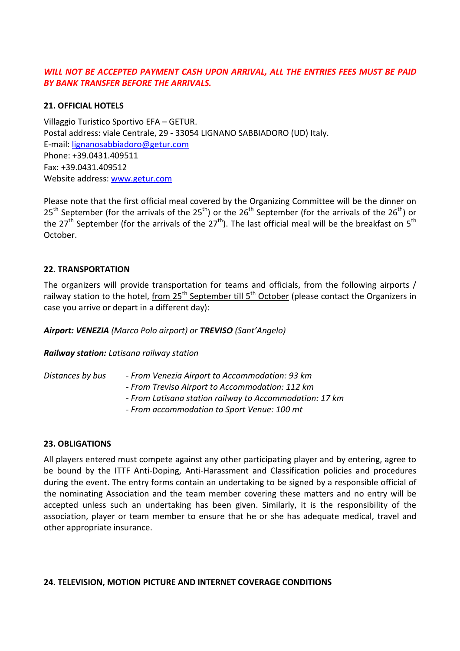# WILL NOT BE ACCEPTED PAYMENT CASH UPON ARRIVAL, ALL THE ENTRIES FEES MUST BE PAID *BY BANK TRANSFER BEFORE THE ARRIVALS.*

# **21. OFFICIAL HOTELS**

Villaggio Turistico Sportivo EFA – GETUR. Postal address: viale Centrale, 29 - 33054 LIGNANO SABBIADORO (UD) Italy. E-mail: lignanosabbiadoro@getur.com Phone: +39.0431.409511 Fax: +39.0431.409512 Website address: www.getur.com

Please note that the first official meal covered by the Organizing Committee will be the dinner on  $25<sup>th</sup>$  September (for the arrivals of the  $25<sup>th</sup>$ ) or the  $26<sup>th</sup>$  September (for the arrivals of the  $26<sup>th</sup>$ ) or the 27<sup>th</sup> September (for the arrivals of the 27<sup>th</sup>). The last official meal will be the breakfast on 5<sup>th</sup> October.

### **22. TRANSPORTATION**

The organizers will provide transportation for teams and officials, from the following airports / railway station to the hotel, from 25<sup>th</sup> September till 5<sup>th</sup> October (please contact the Organizers in case you arrive or depart in a different day):

*Airport: VENEZIA (Marco Polo airport) or TREVISO (Sant'Angelo)* 

#### *Railway station: Latisana railway station*

| Distances by bus | - From Venezia Airport to Accommodation: 93 km          |
|------------------|---------------------------------------------------------|
|                  | - From Treviso Airport to Accommodation: 112 km         |
|                  | - From Latisana station railway to Accommodation: 17 km |
|                  | - From accommodation to Sport Venue: 100 mt             |

#### **23. OBLIGATIONS**

All players entered must compete against any other participating player and by entering, agree to be bound by the ITTF Anti-Doping, Anti-Harassment and Classification policies and procedures during the event. The entry forms contain an undertaking to be signed by a responsible official of the nominating Association and the team member covering these matters and no entry will be accepted unless such an undertaking has been given. Similarly, it is the responsibility of the association, player or team member to ensure that he or she has adequate medical, travel and other appropriate insurance.

#### **24. TELEVISION, MOTION PICTURE AND INTERNET COVERAGE CONDITIONS**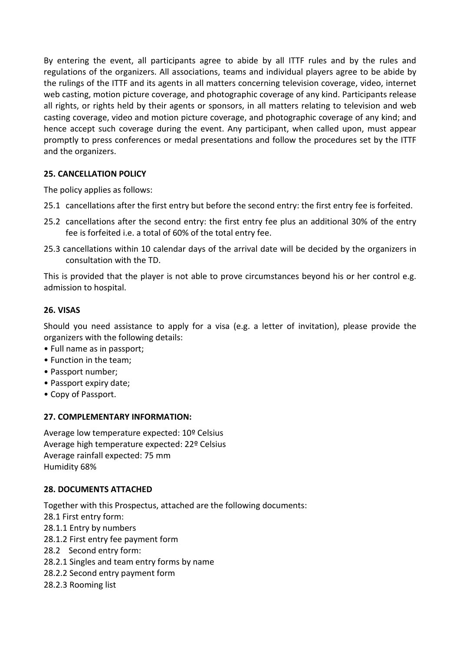By entering the event, all participants agree to abide by all ITTF rules and by the rules and regulations of the organizers. All associations, teams and individual players agree to be abide by the rulings of the ITTF and its agents in all matters concerning television coverage, video, internet web casting, motion picture coverage, and photographic coverage of any kind. Participants release all rights, or rights held by their agents or sponsors, in all matters relating to television and web casting coverage, video and motion picture coverage, and photographic coverage of any kind; and hence accept such coverage during the event. Any participant, when called upon, must appear promptly to press conferences or medal presentations and follow the procedures set by the ITTF and the organizers.

# **25. CANCELLATION POLICY**

The policy applies as follows:

- 25.1 cancellations after the first entry but before the second entry: the first entry fee is forfeited.
- 25.2 cancellations after the second entry: the first entry fee plus an additional 30% of the entry fee is forfeited i.e. a total of 60% of the total entry fee.
- 25.3 cancellations within 10 calendar days of the arrival date will be decided by the organizers in consultation with the TD.

This is provided that the player is not able to prove circumstances beyond his or her control e.g. admission to hospital.

## **26. VISAS**

Should you need assistance to apply for a visa (e.g. a letter of invitation), please provide the organizers with the following details:

- Full name as in passport;
- Function in the team;
- Passport number;
- Passport expiry date;
- Copy of Passport.

#### **27. COMPLEMENTARY INFORMATION:**

Average low temperature expected: 10º Celsius Average high temperature expected: 22º Celsius Average rainfall expected: 75 mm Humidity 68%

#### **28. DOCUMENTS ATTACHED**

Together with this Prospectus, attached are the following documents:

- 28.1 First entry form:
- 28.1.1 Entry by numbers
- 28.1.2 First entry fee payment form
- 28.2 Second entry form:
- 28.2.1 Singles and team entry forms by name
- 28.2.2 Second entry payment form
- 28.2.3 Rooming list